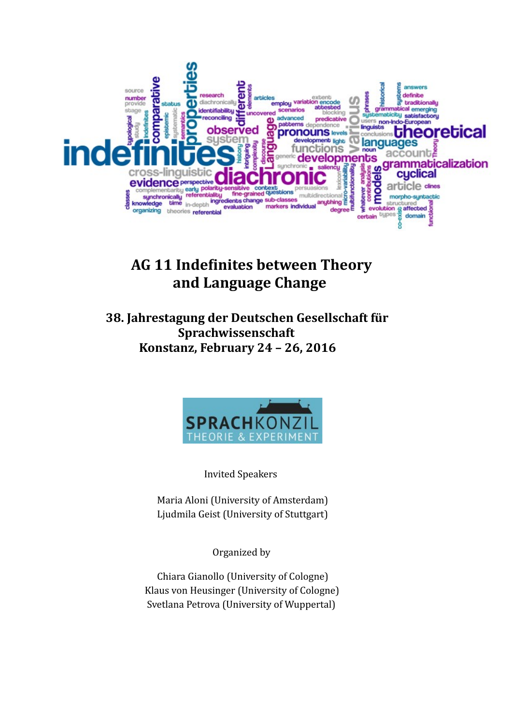

# **AG 11 Indefinites between Theory and Language Change**

 **38. Jahrestagung der Deutschen Gesellschaft für Sprachwissenschaft Konstanz, February 24 – 26, 2016**



Invited Speakers

 Maria Aloni (University of Amsterdam) Ljudmila Geist (University of Stuttgart)

Organized by

 Chiara Gianollo (University of Cologne) Klaus von Heusinger (University of Cologne) Svetlana Petrova (University of Wuppertal)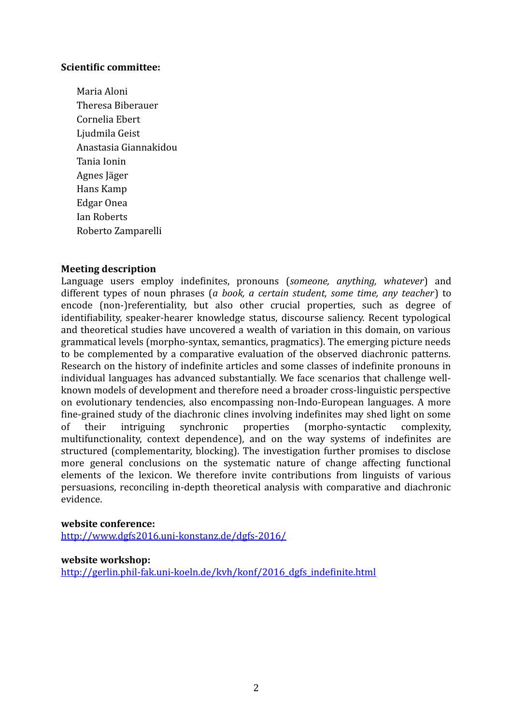#### **Scientific committee:**

Maria Aloni Theresa Biberauer Cornelia Ebert Ljudmila Geist Anastasia Giannakidou Tania Ionin Agnes Jäger Hans Kamp Edgar Onea Ian Roberts Roberto Zamparelli

#### **Meeting description**

Language users employ indefinites, pronouns (*someone, anything, whatever*) and different types of noun phrases (*a book, a certain student, some time, any teacher*) to encode (non-)referentiality, but also other crucial properties, such as degree of identifiability, speaker-hearer knowledge status, discourse saliency. Recent typological and theoretical studies have uncovered a wealth of variation in this domain, on various grammatical levels (morpho-syntax, semantics, pragmatics). The emerging picture needs to be complemented by a comparative evaluation of the observed diachronic patterns. Research on the history of indefinite articles and some classes of indefinite pronouns in individual languages has advanced substantially. We face scenarios that challenge wellknown models of development and therefore need a broader cross-linguistic perspective on evolutionary tendencies, also encompassing non-Indo-European languages. A more fine-grained study of the diachronic clines involving indefinites may shed light on some of their intriguing synchronic properties (morpho-syntactic complexity, multifunctionality, context dependence), and on the way systems of indefinites are structured (complementarity, blocking). The investigation further promises to disclose more general conclusions on the systematic nature of change affecting functional elements of the lexicon. We therefore invite contributions from linguists of various persuasions, reconciling in-depth theoretical analysis with comparative and diachronic evidence.

#### **website conference:**

<http://www.dgfs2016.uni-konstanz.de/dgfs-2016/>

#### **website workshop:**

[http://gerlin.phil-fak.uni-koeln.de/kvh/konf/2016\\_dgfs\\_indefinite.html](http://gerlin.phil-fak.uni-koeln.de/kvh/konf/2016_dgfs_indefinite.html)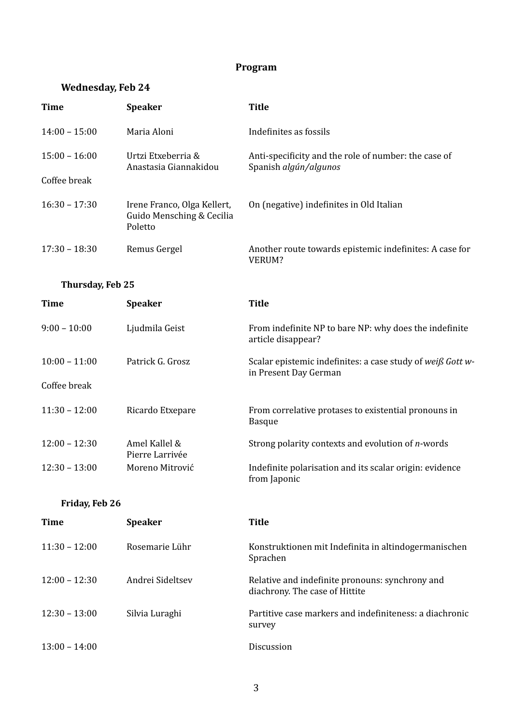# **Program**

# **Wednesday, Feb 24**

| <b>Time</b>      | <b>Speaker</b>                                                      | <b>Title</b>                                                                        |
|------------------|---------------------------------------------------------------------|-------------------------------------------------------------------------------------|
| $14:00 - 15:00$  | Maria Aloni                                                         | Indefinites as fossils                                                              |
| $15:00 - 16:00$  | Urtzi Etxeberria &<br>Anastasia Giannakidou                         | Anti-specificity and the role of number: the case of<br>Spanish algún/algunos       |
| Coffee break     |                                                                     |                                                                                     |
| $16:30 - 17:30$  | Irene Franco, Olga Kellert,<br>Guido Mensching & Cecilia<br>Poletto | On (negative) indefinites in Old Italian                                            |
| $17:30 - 18:30$  | Remus Gergel                                                        | Another route towards epistemic indefinites: A case for<br>VERUM?                   |
| Thursday, Feb 25 |                                                                     |                                                                                     |
| <b>Time</b>      | <b>Speaker</b>                                                      | <b>Title</b>                                                                        |
| $9:00 - 10:00$   | Ljudmila Geist                                                      | From indefinite NP to bare NP: why does the indefinite<br>article disappear?        |
| $10:00 - 11:00$  | Patrick G. Grosz                                                    | Scalar epistemic indefinites: a case study of weiß Gott w-<br>in Present Day German |
| Coffee break     |                                                                     |                                                                                     |
| $11:30 - 12:00$  | Ricardo Etxepare                                                    | From correlative protases to existential pronouns in<br><b>Basque</b>               |
| $12:00 - 12:30$  | Amel Kallel &<br>Pierre Larrivée                                    | Strong polarity contexts and evolution of n-words                                   |
| $12:30 - 13:00$  | Moreno Mitrović                                                     | Indefinite polarisation and its scalar origin: evidence<br>from Japonic             |
| Friday, Feb 26   |                                                                     |                                                                                     |
| m.               |                                                                     | m.,                                                                                 |

| Time            | <b>Speaker</b>   | <b>Title</b>                                                                      |
|-----------------|------------------|-----------------------------------------------------------------------------------|
| $11:30 - 12:00$ | Rosemarie Lühr   | Konstruktionen mit Indefinita in altindogermanischen<br>Sprachen                  |
| $12:00 - 12:30$ | Andrei Sideltsev | Relative and indefinite pronouns: synchrony and<br>diachrony. The case of Hittite |
| $12:30 - 13:00$ | Silvia Luraghi   | Partitive case markers and indefiniteness: a diachronic<br>survey                 |
| $13:00 - 14:00$ |                  | <b>Discussion</b>                                                                 |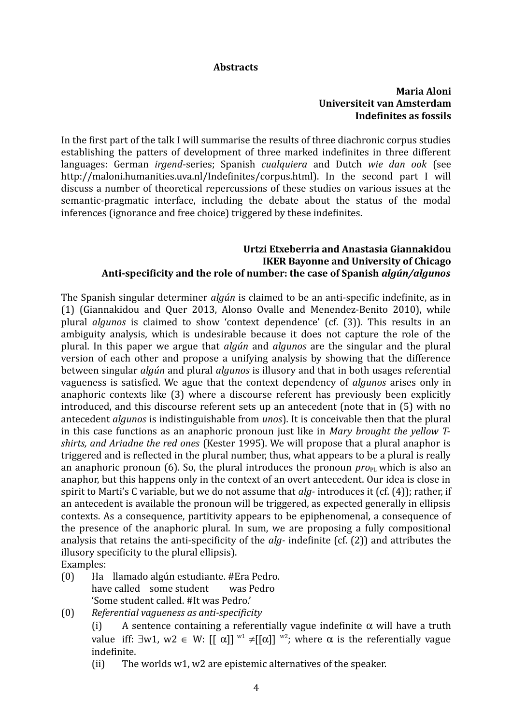#### **Abstracts**

### **Maria Aloni Universiteit van Amsterdam Indefinites as fossils**

In the first part of the talk I will summarise the results of three diachronic corpus studies establishing the patters of development of three marked indefinites in three different languages: German *irgend*-series; Spanish *cualquiera* and Dutch *wie dan ook* (see http://maloni.humanities.uva.nl/Indefinites/corpus.html). In the second part I will discuss a number of theoretical repercussions of these studies on various issues at the semantic-pragmatic interface, including the debate about the status of the modal inferences (ignorance and free choice) triggered by these indefinites.

#### **Urtzi Etxeberria and Anastasia Giannakidou IKER Bayonne and University of Chicago Anti-specificity and the role of number: the case of Spanish** *algún/algunos*

The Spanish singular determiner *algún* is claimed to be an anti-specific indefinite, as in (1) (Giannakidou and Quer 2013, Alonso Ovalle and Menendez-Benito 2010), while plural *algunos* is claimed to show 'context dependence' (cf. (3)). This results in an ambiguity analysis, which is undesirable because it does not capture the role of the plural. In this paper we argue that *algún* and *algunos* are the singular and the plural version of each other and propose a unifying analysis by showing that the difference between singular *algún* and plural *algunos* is illusory and that in both usages referential vagueness is satisfied. We ague that the context dependency of *algunos* arises only in anaphoric contexts like (3) where a discourse referent has previously been explicitly introduced, and this discourse referent sets up an antecedent (note that in (5) with no antecedent *algunos* is indistinguishable from *unos*). It is conceivable then that the plural in this case functions as an anaphoric pronoun just like in *Mary brought the yellow Tshirts, and Ariadne the red ones* (Kester 1995). We will propose that a plural anaphor is triggered and is reflected in the plural number, thus, what appears to be a plural is really an anaphoric pronoun (6). So, the plural introduces the pronoun  $\text{pro}_{\text{PL}}$  which is also an anaphor, but this happens only in the context of an overt antecedent. Our idea is close in spirit to Marti's C variable, but we do not assume that *alg-* introduces it (cf. (4)); rather, if an antecedent is available the pronoun will be triggered, as expected generally in ellipsis contexts. As a consequence, partitivity appears to be epiphenomenal, a consequence of the presence of the anaphoric plural. In sum, we are proposing a fully compositional analysis that retains the anti-specificity of the *alg-* indefinite (cf. (2)) and attributes the illusory specificity to the plural ellipsis).

Examples:

- (0) Ha llamado algún estudiante. #Era Pedro. have called some student was Pedro 'Some student called. #It was Pedro.'
- (0) *Referential vagueness as anti-specificity*
	- (i) A sentence containing a referentially vague indefinite  $\alpha$  will have a truth value iff:  $\exists w1$ ,  $w2 \in W$ :  $[[\alpha]]^{w1} \neq [[\alpha]]^{w2}$ ; where  $\alpha$  is the referentially vague indefinite.
	- (ii) The worlds w1, w2 are epistemic alternatives of the speaker.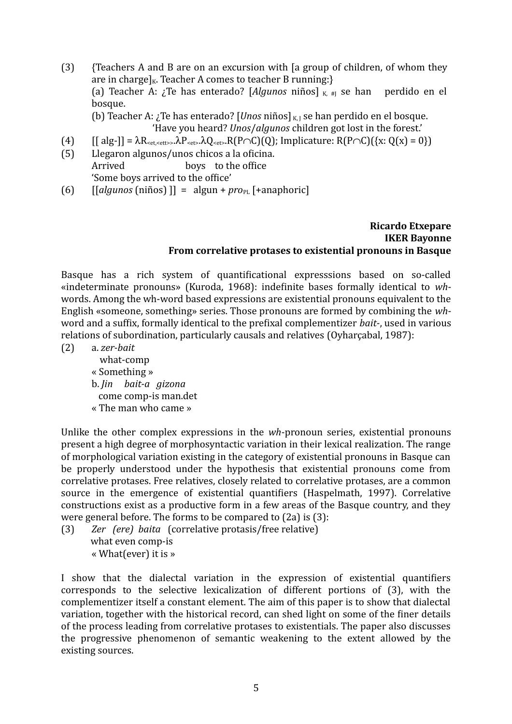(3) {Teachers A and B are on an excursion with [a group of children, of whom they are in charge]<sub>K</sub>. Teacher A comes to teacher B running: $\}$ (a) Teacher A:  $\chi$  Te has enterado? [*Algunos* niños]  $\kappa$  # se han perdido en el bosque. (b) Teacher A:  $\chi$ Te has enterado? [*Unos* niños]  $\kappa$ <sub>L</sub> se han perdido en el bosque.

'Have you heard? *Unos*/*algunos* children got lost in the forest.'

- (4)  $[[alg-]] = \lambda R_{\text{set},\text{set}}, \lambda P_{\text{set}}, \lambda Q_{\text{set}}, R(P \cap C)(Q);$  Implicature:  $R(P \cap C)(\{x: Q(x) = 0\})$
- (5) Llegaron algunos/unos chicos a la oficina. Arrived boys to the office 'Some boys arrived to the office'
- (6)  $\left[\begin{array}{cc} \left[\begin{array}{cc} a\end{array}\right] & \text{inif} \right] = a\text{lgun} + pro_{PL} \left[\begin{array}{cc} a\end{array}\right] \end{array}\right]$

# **Ricardo Etxepare IKER Bayonne From correlative protases to existential pronouns in Basque**

Basque has a rich system of quantificational expresssions based on so-called «indeterminate pronouns» (Kuroda, 1968): indefinite bases formally identical to *wh*words. Among the wh-word based expressions are existential pronouns equivalent to the English «someone, something» series. Those pronouns are formed by combining the *wh*word and a suffix, formally identical to the prefixal complementizer *bait-*, used in various relations of subordination, particularly causals and relatives (Oyharçabal, 1987):

- (2) a. *zer-bait* what-comp « Something » b. *Jin bait-a gizona* come comp-is man.det
	- « The man who came »

Unlike the other complex expressions in the *wh*-pronoun series, existential pronouns present a high degree of morphosyntactic variation in their lexical realization. The range of morphological variation existing in the category of existential pronouns in Basque can be properly understood under the hypothesis that existential pronouns come from correlative protases. Free relatives, closely related to correlative protases, are a common source in the emergence of existential quantifiers (Haspelmath, 1997). Correlative constructions exist as a productive form in a few areas of the Basque country, and they were general before. The forms to be compared to (2a) is (3):

(3) *Zer (ere) baita* (correlative protasis/free relative) what even comp-is « What(ever) it is »

I show that the dialectal variation in the expression of existential quantifiers corresponds to the selective lexicalization of different portions of (3), with the complementizer itself a constant element. The aim of this paper is to show that dialectal variation, together with the historical record, can shed light on some of the finer details of the process leading from correlative protases to existentials. The paper also discusses the progressive phenomenon of semantic weakening to the extent allowed by the existing sources.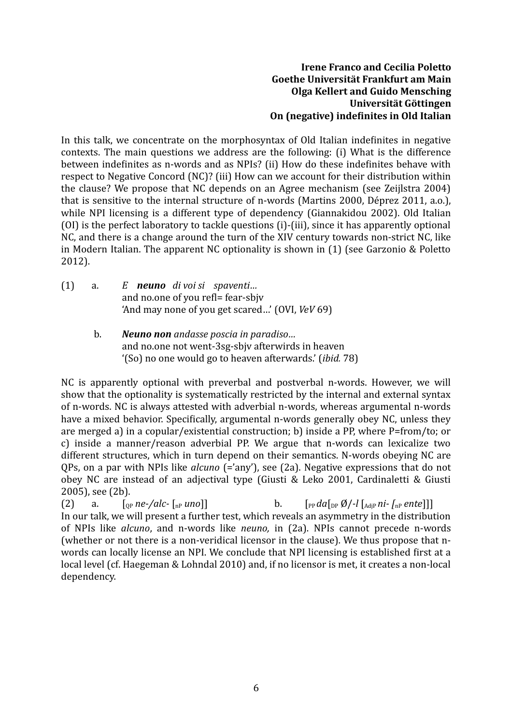## **Irene Franco and Cecilia Poletto Goethe Universität Frankfurt am Main Olga Kellert and Guido Mensching Universität Göttingen On (negative) indefinites in Old Italian**

In this talk, we concentrate on the morphosyntax of Old Italian indefinites in negative contexts. The main questions we address are the following: (i) What is the difference between indefinites as n-words and as NPIs? (ii) How do these indefinites behave with respect to Negative Concord (NC)? (iii) How can we account for their distribution within the clause? We propose that NC depends on an Agree mechanism (see Zeijlstra 2004) that is sensitive to the internal structure of n-words (Martins 2000, Déprez 2011, a.o.), while NPI licensing is a different type of dependency (Giannakidou 2002). Old Italian (OI) is the perfect laboratory to tackle questions (i)-(iii), since it has apparently optional NC, and there is a change around the turn of the XIV century towards non-strict NC, like in Modern Italian. The apparent NC optionality is shown in (1) (see Garzonio & Poletto 2012).

- (1) a. *E neuno di voi si spaventi…* and no.one of you refl= fear-sbjv 'And may none of you get scared…' (OVI, *VeV* 69)
	- b. *Neuno non andasse poscia in paradiso…* and no.one not went-3sg-sbjv afterwirds in heaven '(So) no one would go to heaven afterwards.' (*ibid.* 78)

NC is apparently optional with preverbal and postverbal n-words. However, we will show that the optionality is systematically restricted by the internal and external syntax of n-words. NC is always attested with adverbial n-words, whereas argumental n-words have a mixed behavior. Specifically, argumental n-words generally obey NC, unless they are merged a) in a copular/existential construction; b) inside a PP, where P=from/to; or c) inside a manner/reason adverbial PP. We argue that n-words can lexicalize two different structures, which in turn depend on their semantics. N-words obeying NC are QPs, on a par with NPIs like *alcuno* (='any'), see (2a). Negative expressions that do not obey NC are instead of an adjectival type (Giusti & Leko 2001, Cardinaletti & Giusti 2005), see (2b).

(2) a.  $\lceil \frac{p}{p} \cdot \frac{p}{p} \cdot \frac{p}{p} \cdot \frac{p}{p} \cdot \frac{p}{p} \cdot \frac{p}{p} \cdot \frac{p}{p} \cdot \frac{p}{p} \cdot \frac{p}{p} \cdot \frac{p}{p} \cdot \frac{p}{p} \cdot \frac{p}{p} \cdot \frac{p}{p}} \cdot \frac{p}{p} \cdot \frac{p}{p} \cdot \frac{p}{p} \cdot \frac{p}{p} \cdot \frac{p}{p} \cdot \frac{p}{p} \cdot \frac{p}{p} \cdot \frac{p}{p} \cdot \frac{p}{p} \cdot \frac{p}{p} \cdot \frac{$ In our talk, we will present a further test, which reveals an asymmetry in the distribution of NPIs like *alcuno*, and n-words like *neuno,* in (2a). NPIs cannot precede n-words (whether or not there is a non-veridical licensor in the clause). We thus propose that nwords can locally license an NPI. We conclude that NPI licensing is established first at a local level (cf. Haegeman & Lohndal 2010) and, if no licensor is met, it creates a non-local dependency.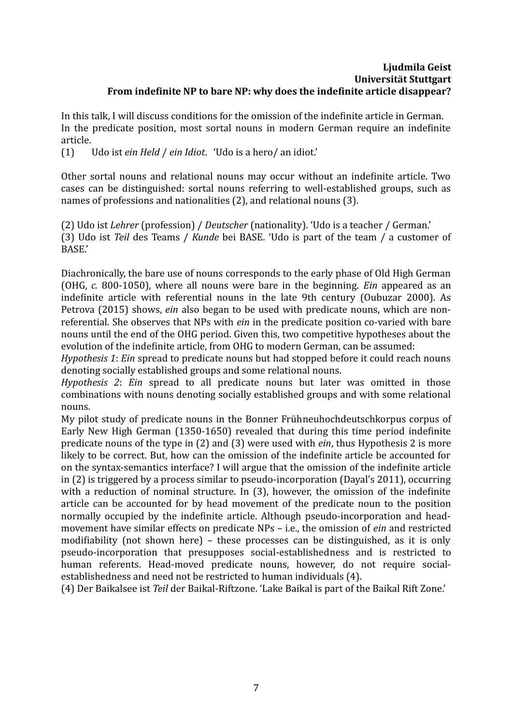#### **Ljudmila Geist Universität Stuttgart From indefinite NP to bare NP: why does the indefinite article disappear?**

In this talk, I will discuss conditions for the omission of the indefinite article in German. In the predicate position, most sortal nouns in modern German require an indefinite article.

(1) Udo ist *ein Held* / *ein Idiot*. 'Udo is a hero/ an idiot.'

Other sortal nouns and relational nouns may occur without an indefinite article. Two cases can be distinguished: sortal nouns referring to well-established groups, such as names of professions and nationalities (2), and relational nouns (3).

(2) Udo ist *Lehrer* (profession) / *Deutscher* (nationality). 'Udo is a teacher / German.' (3) Udo ist *Teil* des Teams / *Kunde* bei BASE. 'Udo is part of the team / a customer of BASE.'

Diachronically, the bare use of nouns corresponds to the early phase of Old High German (OHG, *c.* 800-1050), where all nouns were bare in the beginning. *Ein* appeared as an indefinite article with referential nouns in the late 9th century (Oubuzar 2000). As Petrova (2015) shows, *ein* also began to be used with predicate nouns, which are nonreferential. She observes that NPs with *ein* in the predicate position co-varied with bare nouns until the end of the OHG period. Given this, two competitive hypotheses about the evolution of the indefinite article, from OHG to modern German, can be assumed:

*Hypothesis 1*: *Ein* spread to predicate nouns but had stopped before it could reach nouns denoting socially established groups and some relational nouns.

*Hypothesis 2*: *Ein* spread to all predicate nouns but later was omitted in those combinations with nouns denoting socially established groups and with some relational nouns.

My pilot study of predicate nouns in the Bonner Frühneuhochdeutschkorpus corpus of Early New High German (1350-1650) revealed that during this time period indefinite predicate nouns of the type in (2) and (3) were used with *ein*, thus Hypothesis 2 is more likely to be correct. But, how can the omission of the indefinite article be accounted for on the syntax-semantics interface? I will argue that the omission of the indefinite article in (2) is triggered by a process similar to pseudo-incorporation (Dayal's 2011), occurring with a reduction of nominal structure. In (3), however, the omission of the indefinite article can be accounted for by head movement of the predicate noun to the position normally occupied by the indefinite article. Although pseudo-incorporation and headmovement have similar effects on predicate NPs – i.e., the omission of *ein* and restricted modifiability (not shown here) – these processes can be distinguished, as it is only pseudo-incorporation that presupposes social-establishedness and is restricted to human referents. Head-moved predicate nouns, however, do not require socialestablishedness and need not be restricted to human individuals (4).

(4) Der Baikalsee ist *Teil* der Baikal-Riftzone. 'Lake Baikal is part of the Baikal Rift Zone.'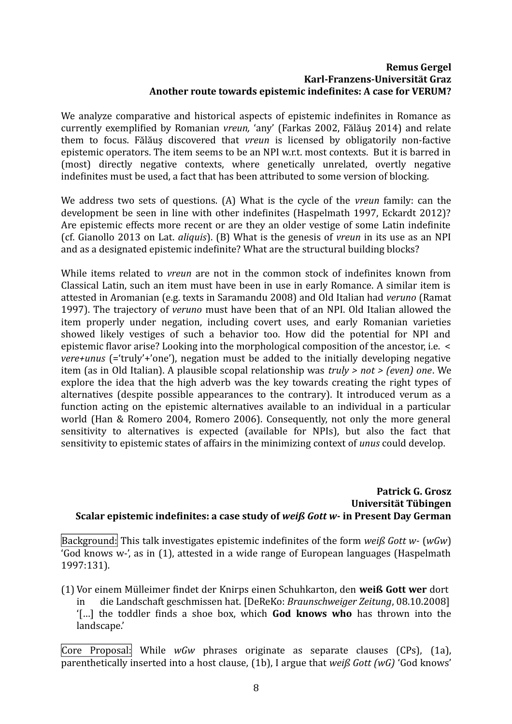#### **Remus Gergel Karl-Franzens-Universität Graz Another route towards epistemic indefinites: A case for VERUM?**

We analyze comparative and historical aspects of epistemic indefinites in Romance as currently exemplified by Romanian *vreun,* 'any' (Farkas 2002, Fălăuş 2014) and relate them to focus. Fălăuş discovered that *vreun* is licensed by obligatorily non-factive epistemic operators. The item seems to be an NPI w.r.t. most contexts. But it is barred in (most) directly negative contexts, where genetically unrelated, overtly negative indefinites must be used, a fact that has been attributed to some version of blocking.

We address two sets of questions. (A) What is the cycle of the *vreun* family: can the development be seen in line with other indefinites (Haspelmath 1997, Eckardt 2012)? Are epistemic effects more recent or are they an older vestige of some Latin indefinite (cf. Gianollo 2013 on Lat. *aliquis*). (B) What is the genesis of *vreun* in its use as an NPI and as a designated epistemic indefinite? What are the structural building blocks?

While items related to *vreun* are not in the common stock of indefinites known from Classical Latin, such an item must have been in use in early Romance. A similar item is attested in Aromanian (e.g. texts in Saramandu 2008) and Old Italian had *veruno* (Ramat 1997). The trajectory of *veruno* must have been that of an NPI. Old Italian allowed the item properly under negation, including covert uses, and early Romanian varieties showed likely vestiges of such a behavior too. How did the potential for NPI and epistemic flavor arise? Looking into the morphological composition of the ancestor, i.e. < *vere+unus* (='truly'+'one'), negation must be added to the initially developing negative item (as in Old Italian). A plausible scopal relationship was *truly > not > (even) one*. We explore the idea that the high adverb was the key towards creating the right types of alternatives (despite possible appearances to the contrary). It introduced verum as a function acting on the epistemic alternatives available to an individual in a particular world (Han & Romero 2004, Romero 2006). Consequently, not only the more general sensitivity to alternatives is expected (available for NPIs), but also the fact that sensitivity to epistemic states of affairs in the minimizing context of *unus* could develop.

#### **Patrick G. Grosz Universität Tübingen Scalar epistemic indefinites: a case study of** *weiß Gott w-* **in Present Day German**

Background: This talk investigates epistemic indefinites of the form *weiß Gott w-* (*wGw*) 'God knows w-', as in [\(1\)](#page-7-0), attested in a wide range of European languages (Haspelmath 1997:131).

<span id="page-7-0"></span>(1) Vor einem Mülleimer findet der Knirps einen Schuhkarton, den **weiß Gott wer** dort in die Landschaft geschmissen hat. [DeReKo: *Braunschweiger Zeitung*, 08.10.2008] '[…] the toddler finds a shoe box, which **God knows who** has thrown into the landscape.'

Core Proposal: While *wGw* phrases originate as separate clauses (CPs), [\(1a](#page-8-0)), parenthetically inserted into a host clause, [\(1b](#page-8-0)), I argue that *weiß Gott (wG)* 'God knows'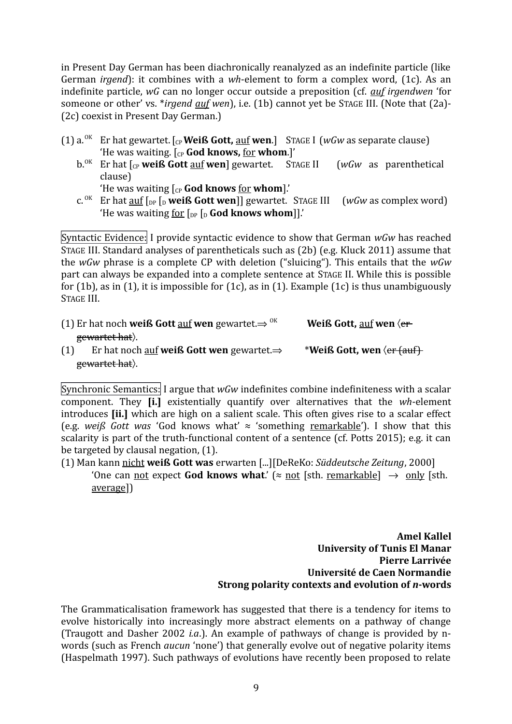in Present Day German has been diachronically reanalyzed as an indefinite particle (like German *irgend*): it combines with a *wh*-element to form a complex word, [\(1c](#page-8-0)). As an indefinite particle, *wG* can no longer occur outside a preposition (cf. *auf irgendwen* 'for someone or other' vs. \**irgend auf wen*), i.e. [\(1b](#page-8-0)) cannot yet be STAGE III. (Note that (2a)- (2c) coexist in Present Day German.)

- <span id="page-8-0"></span>(1)  $a^{OK}$  Er hat gewartet. [ $_{CP}$  **Weiß Gott,**  $\underline{aut}$  **wen.**] STAGE I (*wGw* as separate clause) 'He was waiting. [CP **God knows,** for **whom**.]'
	- b.<sup>OK</sup> Er hat  $\int_{CP}$  weiß Gott <u>auf</u> wen] gewartet. STAGE II (*wGw* as parenthetical clause)

'He was waiting [CP **God knows** for **whom**].'

c. OK Er hat auf [DP [<sup>D</sup> **weiß Gott wen**]] gewartet. STAGE III (*wGw* as complex word) 'He was waiting <u>for</u>  $\lceil_{DP} \rceil_{D}$  **God knows whom**]].'

Syntactic Evidence: I provide syntactic evidence to show that German *wGw* has reached STAGE III. Standard analyses of parentheticals such as (2b) (e.g. Kluck 2011) assume that the *wGw* phrase is a complete CP with deletion ("sluicing"). This entails that the *wGw* part can always be expanded into a complete sentence at STAGE II. While this is possible for [\(1b](#page-8-0)), as in [\(1\)](#page-8-2), it is impossible for [\(1c](#page-8-0)), as in (1). Example (1c) is thus unambiguously STAGE III.

- <span id="page-8-3"></span>(1) Er hat noch **weiß Gott** <u>auf</u> **wen** gewartet.  $\Rightarrow$  <sup>ok</sup> **Weiß Gott**, <u>auf</u> **wen**  $\langle$ er gewartet hat). (1) Er hat noch <u>auf</u> weiß Gott wen gewartet. $\Rightarrow$  \*Weiß Gott, wen  $\langle e_r$  (auf)
- <span id="page-8-2"></span>gewartet hat.

Synchronic Semantics: I argue that *wGw* indefinites combine indefiniteness with a scalar component. They **[i.]** existentially quantify over alternatives that the *wh*-element introduces **[ii.]** which are high on a salient scale. This often gives rise to a scalar effect (e.g. *weiß Gott was* 'God knows what'  $\approx$  'something remarkable'). I show that this scalarity is part of the truth-functional content of a sentence (cf. Potts 2015); e.g. it can be targeted by clausal negation, [\(1\)](#page-8-1).

<span id="page-8-1"></span>(1) Man kann nicht **weiß Gott was** erwarten [...][DeReKo: *Süddeutsche Zeitung*, 2000] 'One can not expect **God knows what**.' ( $\approx$  not [sth. remarkable]  $\rightarrow$  only [sth. average])

> **Amel Kallel University of Tunis El Manar Pierre Larrivée Université de Caen Normandie Strong polarity contexts and evolution of** *n***-words**

The Grammaticalisation framework has suggested that there is a tendency for items to evolve historically into increasingly more abstract elements on a pathway of change (Traugott and Dasher 2002 *i.a*.). An example of pathways of change is provided by nwords (such as French *aucun* 'none') that generally evolve out of negative polarity items (Haspelmath 1997). Such pathways of evolutions have recently been proposed to relate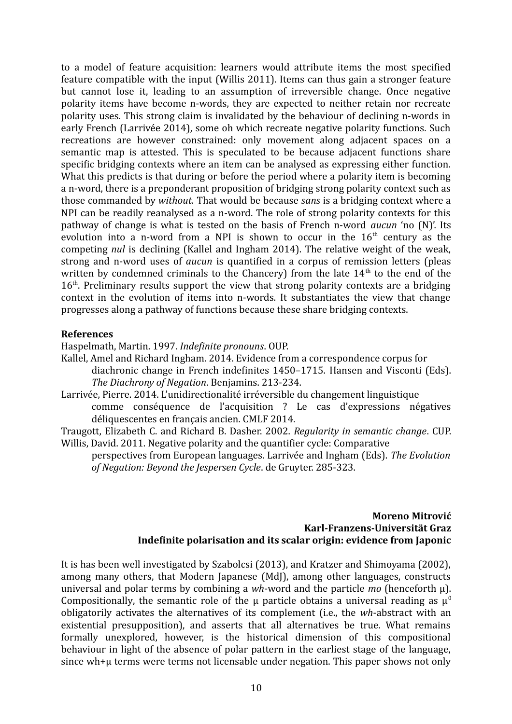to a model of feature acquisition: learners would attribute items the most specified feature compatible with the input (Willis 2011). Items can thus gain a stronger feature but cannot lose it, leading to an assumption of irreversible change. Once negative polarity items have become n-words, they are expected to neither retain nor recreate polarity uses. This strong claim is invalidated by the behaviour of declining n-words in early French (Larrivée 2014), some oh which recreate negative polarity functions. Such recreations are however constrained: only movement along adjacent spaces on a semantic map is attested. This is speculated to be because adjacent functions share specific bridging contexts where an item can be analysed as expressing either function. What this predicts is that during or before the period where a polarity item is becoming a n-word, there is a preponderant proposition of bridging strong polarity context such as those commanded by *without.* That would be because *sans* is a bridging context where a NPI can be readily reanalysed as a n-word. The role of strong polarity contexts for this pathway of change is what is tested on the basis of French n-word *aucun* 'no (N)'. Its evolution into a n-word from a NPI is shown to occur in the  $16<sup>th</sup>$  century as the competing *nul* is declining (Kallel and Ingham 2014). The relative weight of the weak, strong and n-word uses of *aucun* is quantified in a corpus of remission letters (pleas written by condemned criminals to the Chancery) from the late  $14<sup>th</sup>$  to the end of the  $16<sup>th</sup>$ . Preliminary results support the view that strong polarity contexts are a bridging context in the evolution of items into n-words. It substantiates the view that change progresses along a pathway of functions because these share bridging contexts.

#### **References**

Haspelmath, Martin. 1997. *Indefinite pronouns*. OUP.

Kallel, Amel and Richard Ingham. 2014. Evidence from a correspondence corpus for diachronic change in French indefinites 1450–1715. Hansen and Visconti (Eds). *The Diachrony of Negation*. Benjamins. 213-234.

Larrivée, Pierre. 2014. L'unidirectionalité irréversible du changement linguistique comme conséquence de l'acquisition ? Le cas d'expressions négatives déliquescentes en français ancien. CMLF 2014.

Traugott, Elizabeth C. and Richard B. Dasher. 2002. *Regularity in semantic change*. CUP. Willis, David. 2011. Negative polarity and the quantifier cycle: Comparative

perspectives from European languages. Larrivée and Ingham (Eds). *The Evolution of Negation: Beyond the Jespersen Cycle*. de Gruyter. 285-323.

#### **Moreno Mitrović Karl-Franzens-Universität Graz Indefinite polarisation and its scalar origin: evidence from Japonic**

It is has been well investigated by Szabolcsi (2013), and Kratzer and Shimoyama (2002), among many others, that Modern Japanese (MdJ), among other languages, constructs universal and polar terms by combining a *wh*-word and the particle *mo* (henceforth μ). Compositionally, the semantic role of the u particle obtains a universal reading as  $\mu^0$ obligatorily activates the alternatives of its complement (i.e., the *wh*-abstract with an existential presupposition), and asserts that all alternatives be true. What remains formally unexplored, however, is the historical dimension of this compositional behaviour in light of the absence of polar pattern in the earliest stage of the language, since wh+μ terms were terms not licensable under negation. This paper shows not only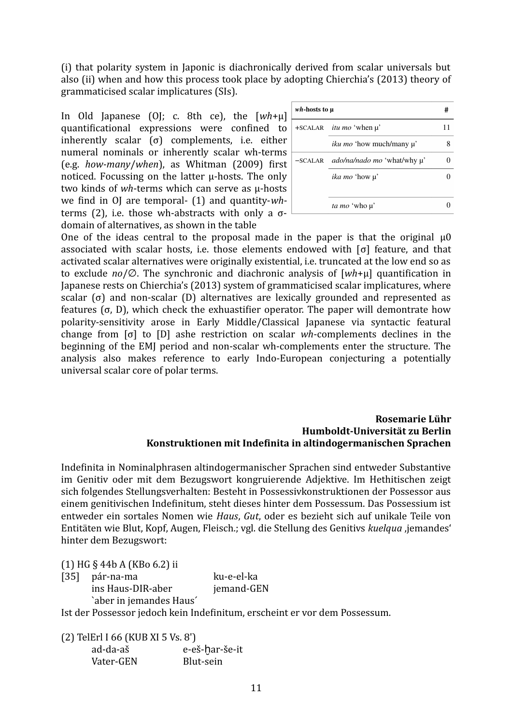(i) that polarity system in Japonic is diachronically derived from scalar universals but also (ii) when and how this process took place by adopting Chierchia's (2013) theory of grammaticised scalar implicatures (SIs).

In Old Japanese (OJ; c. 8th ce), the [*wh*+μ] quantificational expressions were confined to inherently scalar  $(\sigma)$  complements, i.e. either numeral nominals or inherently scalar wh-terms (e.g. *how-many*/*when*), as Whitman (2009) first noticed. Focussing on the latter μ-hosts. The only two kinds of *wh*-terms which can serve as μ-hosts we find in OJ are temporal- (1) and quantity-*wh*terms (2), i.e. those wh-abstracts with only a  $σ$ domain of alternatives, as shown in the table

| <i>wh</i> -hosts to µ |                                       | # |
|-----------------------|---------------------------------------|---|
|                       | $+SCALAR$ <i>itu mo</i> 'when $\mu$ ' |   |
|                       | <i>iku mo</i> 'how much/many µ'       |   |
| $-SCALAR$             | <i>ado/na/nado mo 'what/why µ'</i>    |   |
|                       | <i>ika mo</i> 'how µ'                 |   |
|                       |                                       |   |
|                       | ta mo 'who µ'                         |   |

One of the ideas central to the proposal made in the paper is that the original  $\mu$ 0 associated with scalar hosts, i.e. those elements endowed with [σ] feature, and that activated scalar alternatives were originally existential, i.e. truncated at the low end so as to exclude *no*/∅. The synchronic and diachronic analysis of [*wh*+μ] quantification in Japanese rests on Chierchia's (2013) system of grammaticised scalar implicatures, where scalar (σ) and non-scalar (D) alternatives are lexically grounded and represented as features (σ, D), which check the exhuastifier operator. The paper will demontrate how polarity-sensitivity arose in Early Middle/Classical Japanese via syntactic featural change from [σ] to [D] ashe restriction on scalar *wh*-complements declines in the beginning of the EMJ period and non-scalar wh-complements enter the structure. The analysis also makes reference to early Indo-European conjecturing a potentially universal scalar core of polar terms.

#### **Rosemarie Lühr Humboldt-Universität zu Berlin Konstruktionen mit Indefinita in altindogermanischen Sprachen**

Indefinita in Nominalphrasen altindogermanischer Sprachen sind entweder Substantive im Genitiv oder mit dem Bezugswort kongruierende Adjektive. Im Hethitischen zeigt sich folgendes Stellungsverhalten: Besteht in Possessivkonstruktionen der Possessor aus einem genitivischen Indefinitum, steht dieses hinter dem Possessum. Das Possessium ist entweder ein sortales Nomen wie *Haus*, *Gut*, oder es bezieht sich auf unikale Teile von Entitäten wie Blut, Kopf, Augen, Fleisch.; vgl. die Stellung des Genitivs *kuelqua* ,jemandes' hinter dem Bezugswort:

(1) HG § 44b A (KBo 6.2) ii

[35] pár-na-ma ku-e-el-ka ins Haus-DIR-aber jemand-GEN `aber in jemandes Haus´

Ist der Possessor jedoch kein Indefinitum, erscheint er vor dem Possessum.

(2) TelErl I 66 (KUB XI 5 Vs. 8') ad-da-aš e-eš-har-še-it Vater-GEN Blut-sein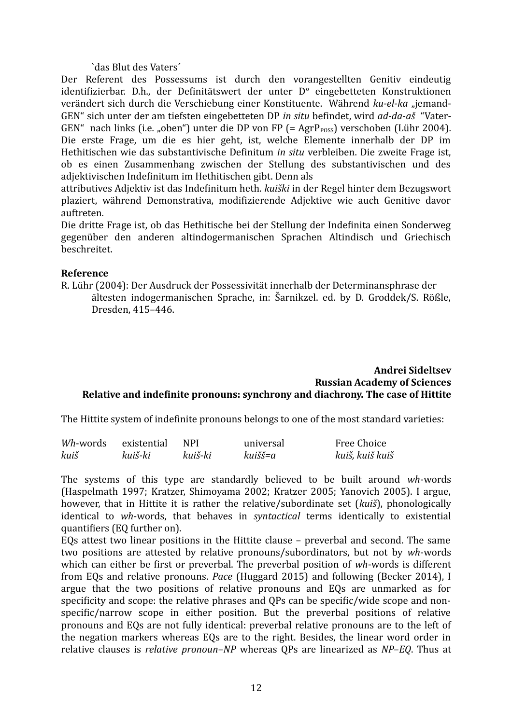`das Blut des Vaters´

Der Referent des Possessums ist durch den vorangestellten Genitiv eindeutig identifizierbar. D.h., der Definitätswert der unter D° eingebetteten Konstruktionen verändert sich durch die Verschiebung einer Konstituente. Während *ku-el-ka* "jemand-GEN" sich unter der am tiefsten eingebetteten DP *in situ* befindet, wird *ad-da-aš* "Vater-GEN" nach links (i.e. "oben") unter die DP von FP (=  $AgrP<sub>poss</sub>$ ) verschoben (Lühr 2004). Die erste Frage, um die es hier geht, ist, welche Elemente innerhalb der DP im Hethitischen wie das substantivische Definitum *in situ* verbleiben. Die zweite Frage ist, ob es einen Zusammenhang zwischen der Stellung des substantivischen und des adjektivischen Indefinitum im Hethitischen gibt. Denn als

attributives Adjektiv ist das Indefinitum heth. *kuiški* in der Regel hinter dem Bezugswort plaziert, während Demonstrativa, modifizierende Adjektive wie auch Genitive davor auftreten.

Die dritte Frage ist, ob das Hethitische bei der Stellung der Indefinita einen Sonderweg gegenüber den anderen altindogermanischen Sprachen Altindisch und Griechisch beschreitet.

#### **Reference**

R. Lühr (2004): Der Ausdruck der Possessivität innerhalb der Determinansphrase der ältesten indogermanischen Sprache, in: Šarnikzel. ed. by D. Groddek/S. Rößle, Dresden, 415–446.

#### **Andrei Sideltsev Russian Academy of Sciences Relative and indefinite pronouns: synchrony and diachrony. The case of Hittite**

The Hittite system of indefinite pronouns belongs to one of the most standard varieties:

| <i>Wh</i> -words | existential | <b>NPI</b> | universal | Free Choice     |
|------------------|-------------|------------|-----------|-----------------|
| kuiš             | kuiš-ki     | kuiš-ki    | kuišš=a   | kuiš, kuiš kuiš |

The systems of this type are standardly believed to be built around *wh*-words (Haspelmath 1997; Kratzer, Shimoyama 2002; Kratzer 2005; Yanovich 2005). I argue, however, that in Hittite it is rather the relative/subordinate set (*kuiš*), phonologically identical to *wh*-words, that behaves in *syntactical* terms identically to existential quantifiers (EQ further on).

EQs attest two linear positions in the Hittite clause – preverbal and second. The same two positions are attested by relative pronouns/subordinators, but not by *wh*-words which can either be first or preverbal. The preverbal position of *wh*-words is different from EQs and relative pronouns. *Pace* (Huggard 2015) and following (Becker 2014), I argue that the two positions of relative pronouns and EQs are unmarked as for specificity and scope: the relative phrases and QPs can be specific/wide scope and nonspecific/narrow scope in either position. But the preverbal positions of relative pronouns and EQs are not fully identical: preverbal relative pronouns are to the left of the negation markers whereas EQs are to the right. Besides, the linear word order in relative clauses is *relative pronoun–NP* whereas QPs are linearized as *NP–EQ*. Thus at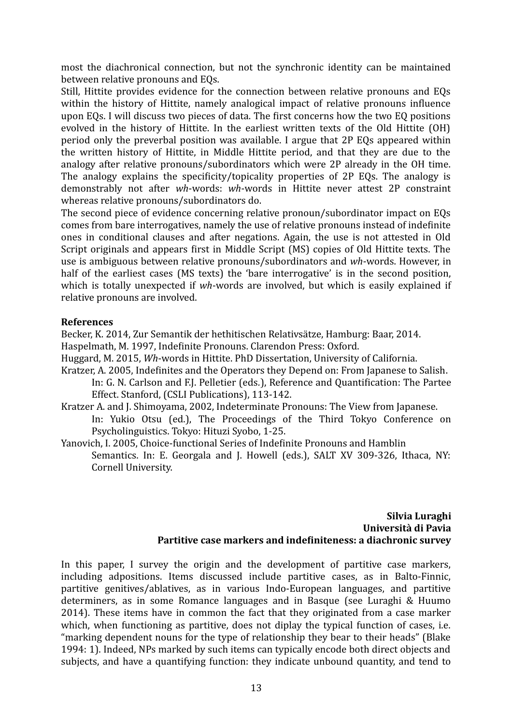most the diachronical connection, but not the synchronic identity can be maintained between relative pronouns and EQs.

Still, Hittite provides evidence for the connection between relative pronouns and EQs within the history of Hittite, namely analogical impact of relative pronouns influence upon EQs. I will discuss two pieces of data. The first concerns how the two EQ positions evolved in the history of Hittite. In the earliest written texts of the Old Hittite (OH) period only the preverbal position was available. I argue that 2P EQs appeared within the written history of Hittite, in Middle Hittite period, and that they are due to the analogy after relative pronouns/subordinators which were 2P already in the OH time. The analogy explains the specificity/topicality properties of 2P EQs. The analogy is demonstrably not after *wh*-words: *wh*-words in Hittite never attest 2P constraint whereas relative pronouns/subordinators do.

The second piece of evidence concerning relative pronoun/subordinator impact on EQs comes from bare interrogatives, namely the use of relative pronouns instead of indefinite ones in conditional clauses and after negations. Again, the use is not attested in Old Script originals and appears first in Middle Script (MS) copies of Old Hittite texts. The use is ambiguous between relative pronouns/subordinators and *wh*-words. However, in half of the earliest cases (MS texts) the 'bare interrogative' is in the second position, which is totally unexpected if *wh*-words are involved, but which is easily explained if relative pronouns are involved.

## **References**

Becker, K. 2014, Zur Semantik der hethitischen Relativsätze, Hamburg: Baar, 2014. Haspelmath, M. 1997, Indefinite Pronouns. Clarendon Press: Oxford.

Huggard, M. 2015, *Wh*-words in Hittite. PhD Dissertation, University of California.

- Kratzer, A. 2005, Indefinites and the Operators they Depend on: From Japanese to Salish. In: G. N. Carlson and F.J. Pelletier (eds*.*), Reference and Quantification: The Partee Effect. Stanford, (CSLI Publications), 113-142.
- Kratzer A. and J. Shimoyama, 2002, Indeterminate Pronouns: The View from Japanese. In: Yukio Otsu (ed.), The Proceedings of the Third Tokyo Conference on Psycholinguistics. Tokyo: Hituzi Syobo, 1-25.
- Yanovich, I. 2005, Choice-functional Series of Indefinite Pronouns and Hamblin Semantics. In: E. Georgala and J. Howell (eds.), SALT XV 309-326, Ithaca, NY: Cornell University.

#### **Silvia Luraghi Università di Pavia Partitive case markers and indefiniteness: a diachronic survey**

In this paper, I survey the origin and the development of partitive case markers, including adpositions. Items discussed include partitive cases, as in Balto-Finnic, partitive genitives/ablatives, as in various Indo-European languages, and partitive determiners, as in some Romance languages and in Basque (see Luraghi & Huumo 2014). These items have in common the fact that they originated from a case marker which, when functioning as partitive, does not diplay the typical function of cases, i.e. "marking dependent nouns for the type of relationship they bear to their heads" (Blake 1994: 1). Indeed, NPs marked by such items can typically encode both direct objects and subjects, and have a quantifying function: they indicate unbound quantity, and tend to